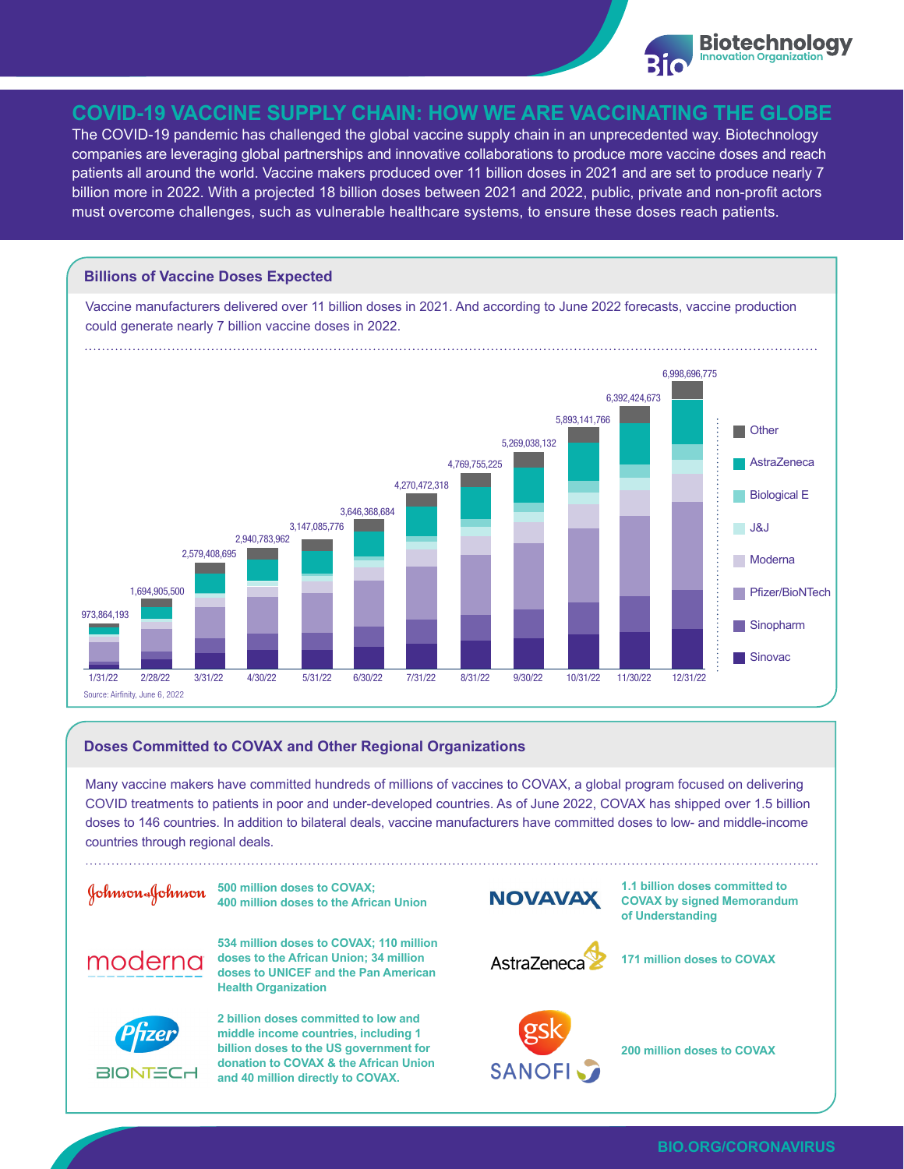

# **COVID-19 VACCINE SUPPLY CHAIN: HOW WE ARE VACCINATING THE GLOBE**

The COVID-19 pandemic has challenged the global vaccine supply chain in an unprecedented way. Biotechnology companies are leveraging global partnerships and innovative collaborations to produce more vaccine doses and reach patients all around the world. Vaccine makers produced over 11 billion doses in 2021 and are set to produce nearly 7 billion more in 2022. With a projected 18 billion doses between 2021 and 2022, public, private and non-profit actors must overcome challenges, such as vulnerable healthcare systems, to ensure these doses reach patients.

### **Billions of Vaccine Doses Expected**

Vaccine manufacturers delivered over 11 billion doses in 2021. And according to June 2022 forecasts, vaccine production could generate nearly 7 billion vaccine doses in 2022.



## **Doses Committed to COVAX and Other Regional Organizations**

Many vaccine makers have committed hundreds of millions of vaccines to COVAX, a global program focused on delivering COVID treatments to patients in poor and under-developed countries. As of June 2022, COVAX has shipped over 1.5 billion doses to 146 countries. In addition to bilateral deals, vaccine manufacturers have committed doses to low- and middle-income countries through regional deals.

Johnson&Johnson

**500 million doses to COVAX; 400 million doses to the African Union**



**534 million doses to COVAX; 110 million doses to the African Union; 34 million doses to UNICEF and the Pan American Health Organization**



**2 billion doses committed to low and middle income countries, including 1 billion doses to the US government for donation to COVAX & the African Union and 40 million directly to COVAX.**



**1.1 billion doses committed to COVAX by signed Memorandum of Understanding**



**171 million doses to COVAX**



**200 million doses to COVAX**